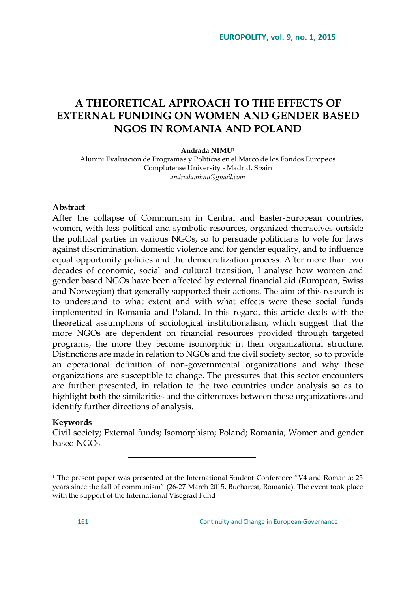# **A THEORETICAL APPROACH TO THE EFFECTS OF EXTERNAL FUNDING ON WOMEN AND GENDER BASED NGOS IN ROMANIA AND POLAND**

#### **Andrada NIMU<sup>1</sup>**

Alumni Evaluación de Programas y Políticas en el Marco de los Fondos Europeos Complutense University - Madrid, Spain *andrada.nimu@gmail.com*

#### **Abstract**

After the collapse of Communism in Central and Easter-European countries, women, with less political and symbolic resources, organized themselves outside the political parties in various NGOs, so to persuade politicians to vote for laws against discrimination, domestic violence and for gender equality, and to influence equal opportunity policies and the democratization process. After more than two decades of economic, social and cultural transition, I analyse how women and gender based NGOs have been affected by external financial aid (European, Swiss and Norwegian) that generally supported their actions. The aim of this research is to understand to what extent and with what effects were these social funds implemented in Romania and Poland. In this regard, this article deals with the theoretical assumptions of sociological institutionalism, which suggest that the more NGOs are dependent on financial resources provided through targeted programs, the more they become isomorphic in their organizational structure. Distinctions are made in relation to NGOs and the civil society sector, so to provide an operational definition of non-governmental organizations and why these organizations are susceptible to change. The pressures that this sector encounters are further presented, in relation to the two countries under analysis so as to highlight both the similarities and the differences between these organizations and identify further directions of analysis.

#### **Keywords**

Civil society; External funds; Isomorphism; Poland; Romania; Women and gender based NGOs

 $1$  The present paper was presented at the International Student Conference  $4V4$  and Romania: 25 years since the fall of communism" (26-27 March 2015, Bucharest, Romania). The event took place with the support of the International Visegrad Fund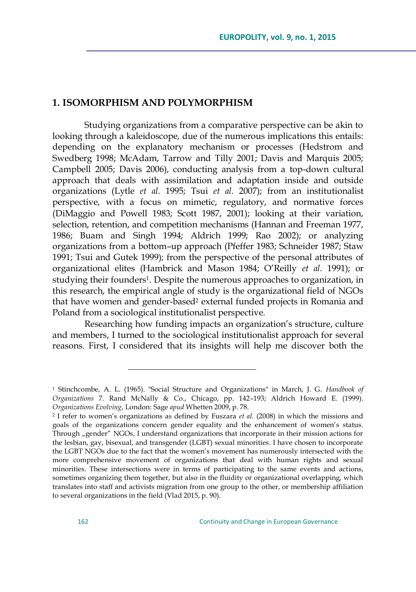### **1. ISOMORPHISM AND POLYMORPHISM**

Studying organizations from a comparative perspective can be akin to looking through a kaleidoscope, due of the numerous implications this entails: depending on the explanatory mechanism or processes (Hedstrom and Swedberg 1998; McAdam, Tarrow and Tilly 2001; Davis and Marquis 2005; Campbell 2005; Davis 2006), conducting analysis from a top-down cultural approach that deals with assimilation and adaptation inside and outside organizations (Lytle *et al.* 1995; Tsui *et al.* 2007); from an institutionalist perspective, with a focus on mimetic, regulatory, and normative forces (DiMaggio and Powell 1983; Scott 1987, 2001); looking at their variation, selection, retention, and competition mechanisms (Hannan and Freeman 1977, 1986; Buam and Singh 1994; Aldrich 1999; Rao 2002); or analyzing organizations from a bottom–up approach (Pfeffer 1983; Schneider 1987; Staw 1991; Tsui and Gutek 1999); from the perspective of the personal attributes of organizational elites (Hambrick and Mason 1984; O'Reilly *et al.* 1991); or studying their founders1. Despite the numerous approaches to organization, in this research, the empirical angle of study is the organizational field of NGOs that have women and gender-based<sup>2</sup> external funded projects in Romania and Poland from a sociological institutionalist perspective.

Researching how funding impacts an organization's structure, culture and members, I turned to the sociological institutionalist approach for several reasons. First, I considered that its insights will help me discover both the

<sup>1</sup> Stinchcombe, A. L. (1965). "Social Structure and Organizations" in March, J. G. *Handbook of Organizations* 7. Rand McNally & Co., Chicago, pp. 142–193; Aldrich Howard E. (1999). *Organizations Evolving*, London: Sage *apud* Whetten 2009, p. 78.

<sup>2</sup> I refer to women's organizations as defined by Fuszara *et al*. (2008) in which the missions and goals of the organizations concern gender equality and the enhancement of women's status. Through "gender" NGOs, I understand organizations that incorporate in their mission actions for the lesbian, gay, bisexual, and transgender (LGBT) sexual minorities. I have chosen to incorporate the LGBT NGOs due to the fact that the women's movement has numerously intersected with the more comprehensive movement of organizations that deal with human rights and sexual minorities. These intersections were in terms of participating to the same events and actions, sometimes organizing them together, but also in the fluidity or organizational overlapping, which translates into staff and activists migration from one group to the other, or membership affiliation to several organizations in the field (Vlad 2015, p. 90).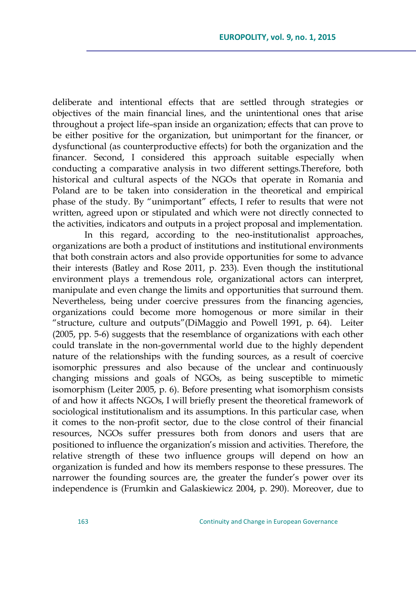deliberate and intentional effects that are settled through strategies or objectives of the main financial lines, and the unintentional ones that arise throughout a project life–span inside an organization; effects that can prove to be either positive for the organization, but unimportant for the financer, or dysfunctional (as counterproductive effects) for both the organization and the financer. Second, I considered this approach suitable especially when conducting a comparative analysis in two different settings.Therefore, both historical and cultural aspects of the NGOs that operate in Romania and Poland are to be taken into consideration in the theoretical and empirical phase of the study. By "unimportant" effects, I refer to results that were not written, agreed upon or stipulated and which were not directly connected to the activities, indicators and outputs in a project proposal and implementation.

In this regard, according to the neo-institutionalist approaches, organizations are both a product of institutions and institutional environments that both constrain actors and also provide opportunities for some to advance their interests (Batley and Rose 2011, p. 233). Even though the institutional environment plays a tremendous role, organizational actors can interpret, manipulate and even change the limits and opportunities that surround them. Nevertheless, being under coercive pressures from the financing agencies, organizations could become more homogenous or more similar in their "structure, culture and outputs"(DiMaggio and Powell 1991, p. 64). Leiter (2005, pp. 5-6) suggests that the resemblance of organizations with each other could translate in the non-governmental world due to the highly dependent nature of the relationships with the funding sources, as a result of coercive isomorphic pressures and also because of the unclear and continuously changing missions and goals of NGOs, as being susceptible to mimetic isomorphism (Leiter 2005, p. 6). Before presenting what isomorphism consists of and how it affects NGOs, I will briefly present the theoretical framework of sociological institutionalism and its assumptions. In this particular case, when it comes to the non-profit sector, due to the close control of their financial resources, NGOs suffer pressures both from donors and users that are positioned to influence the organization's mission and activities. Therefore, the relative strength of these two influence groups will depend on how an organization is funded and how its members response to these pressures. The narrower the founding sources are, the greater the funder's power over its independence is (Frumkin and Galaskiewicz 2004, p. 290). Moreover, due to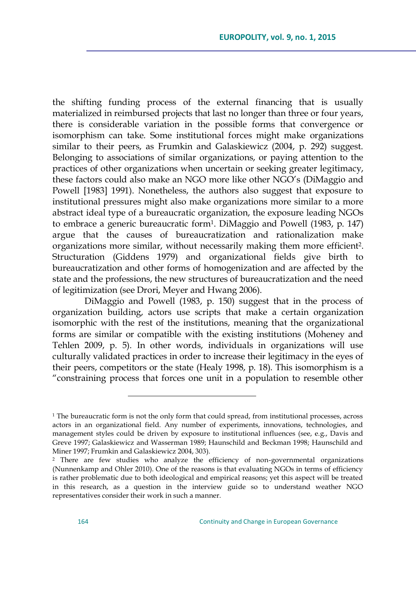the shifting funding process of the external financing that is usually materialized in reimbursed projects that last no longer than three or four years, there is considerable variation in the possible forms that convergence or isomorphism can take. Some institutional forces might make organizations similar to their peers, as Frumkin and Galaskiewicz (2004, p. 292) suggest. Belonging to associations of similar organizations, or paying attention to the practices of other organizations when uncertain or seeking greater legitimacy, these factors could also make an NGO more like other NGO's (DiMaggio and Powell [1983] 1991). Nonetheless, the authors also suggest that exposure to institutional pressures might also make organizations more similar to a more abstract ideal type of a bureaucratic organization, the exposure leading NGOs to embrace a generic bureaucratic form<sup>1</sup>. DiMaggio and Powell (1983, p. 147) argue that the causes of bureaucratization and rationalization make organizations more similar, without necessarily making them more efficient2. Structuration (Giddens 1979) and organizational fields give birth to bureaucratization and other forms of homogenization and are affected by the state and the professions, the new structures of bureaucratization and the need of legitimization (see Drori, Meyer and Hwang 2006).

DiMaggio and Powell (1983, p. 150) suggest that in the process of organization building, actors use scripts that make a certain organization isomorphic with the rest of the institutions, meaning that the organizational forms are similar or compatible with the existing institutions (Moheney and Tehlen 2009, p. 5). In other words, individuals in organizations will use culturally validated practices in order to increase their legitimacy in the eyes of their peers, competitors or the state (Healy 1998, p. 18). This isomorphism is a ―constraining process that forces one unit in a population to resemble other

 $1$ <sup>1</sup> The bureaucratic form is not the only form that could spread, from institutional processes, across actors in an organizational field. Any number of experiments, innovations, technologies, and management styles could be driven by exposure to institutional influences (see, e.g., Davis and Greve 1997; Galaskiewicz and Wasserman 1989; Haunschild and Beckman 1998; Haunschild and Miner 1997; Frumkin and Galaskiewicz 2004, 303).

<sup>2</sup> There are few studies who analyze the efficiency of non-governmental organizations (Nunnenkamp and Ohler 2010). One of the reasons is that evaluating NGOs in terms of efficiency is rather problematic due to both ideological and empirical reasons; yet this aspect will be treated in this research, as a question in the interview guide so to understand weather NGO representatives consider their work in such a manner.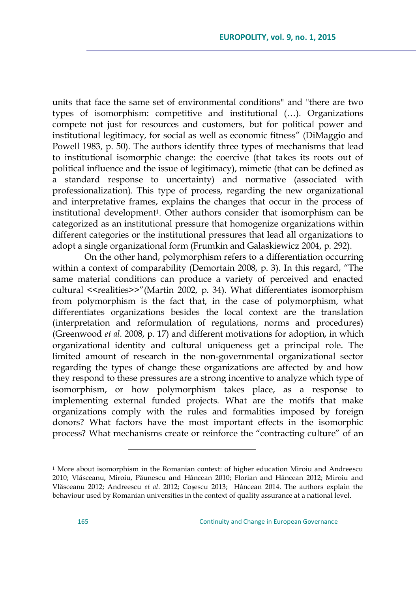units that face the same set of environmental conditions" and "there are two types of isomorphism: competitive and institutional (…). Organizations compete not just for resources and customers, but for political power and institutional legitimacy, for social as well as economic fitness" (DiMaggio and Powell 1983, p. 50). The authors identify three types of mechanisms that lead to institutional isomorphic change: the coercive (that takes its roots out of political influence and the issue of legitimacy), mimetic (that can be defined as a standard response to uncertainty) and normative (associated with professionalization). This type of process, regarding the new organizational and interpretative frames, explains the changes that occur in the process of institutional development<sup>1</sup>. Other authors consider that isomorphism can be categorized as an institutional pressure that homogenize organizations within different categories or the institutional pressures that lead all organizations to adopt a single organizational form (Frumkin and Galaskiewicz 2004, p. 292).

On the other hand, polymorphism refers to a differentiation occurring within a context of comparability (Demortain 2008, p. 3). In this regard, "The same material conditions can produce a variety of perceived and enacted cultural <<realities>>"(Martin 2002, p. 34). What differentiates isomorphism from polymorphism is the fact that, in the case of polymorphism, what differentiates organizations besides the local context are the translation (interpretation and reformulation of regulations, norms and procedures) (Greenwood *et al.* 2008, p. 17) and different motivations for adoption, in which organizational identity and cultural uniqueness get a principal role. The limited amount of research in the non-governmental organizational sector regarding the types of change these organizations are affected by and how they respond to these pressures are a strong incentive to analyze which type of isomorphism, or how polymorphism takes place, as a response to implementing external funded projects. What are the motifs that make organizations comply with the rules and formalities imposed by foreign donors? What factors have the most important effects in the isomorphic process? What mechanisms create or reinforce the "contracting culture" of an

<sup>&</sup>lt;sup>1</sup> More about isomorphism in the Romanian context: of higher education Miroiu and Andreescu 2010; Vlăsceanu, Miroiu, Păunescu and Hâncean 2010; Florian and Hâncean 2012; Miroiu and Vlăsceanu 2012; Andreescu *et al*. 2012; Coșescu 2013; Hâncean 2014. The authors explain the behaviour used by Romanian universities in the context of quality assurance at a national level.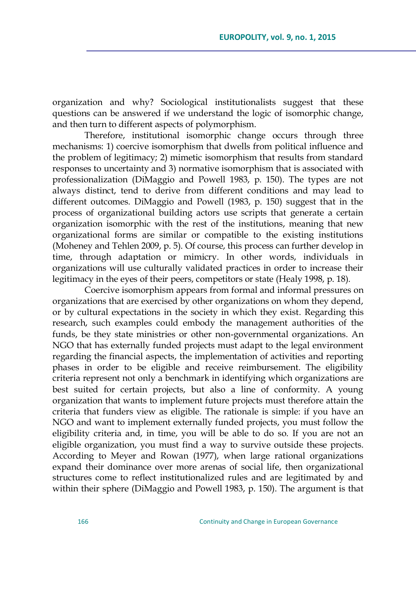organization and why? Sociological institutionalists suggest that these questions can be answered if we understand the logic of isomorphic change, and then turn to different aspects of polymorphism.

Therefore, institutional isomorphic change occurs through three mechanisms: 1) coercive isomorphism that dwells from political influence and the problem of legitimacy; 2) mimetic isomorphism that results from standard responses to uncertainty and 3) normative isomorphism that is associated with professionalization (DiMaggio and Powell 1983, p. 150). The types are not always distinct, tend to derive from different conditions and may lead to different outcomes. DiMaggio and Powell (1983, p. 150) suggest that in the process of organizational building actors use scripts that generate a certain organization isomorphic with the rest of the institutions, meaning that new organizational forms are similar or compatible to the existing institutions (Moheney and Tehlen 2009, p. 5). Of course, this process can further develop in time, through adaptation or mimicry. In other words, individuals in organizations will use culturally validated practices in order to increase their legitimacy in the eyes of their peers, competitors or state (Healy 1998, p. 18).

Coercive isomorphism appears from formal and informal pressures on organizations that are exercised by other organizations on whom they depend, or by cultural expectations in the society in which they exist. Regarding this research, such examples could embody the management authorities of the funds, be they state ministries or other non-governmental organizations. An NGO that has externally funded projects must adapt to the legal environment regarding the financial aspects, the implementation of activities and reporting phases in order to be eligible and receive reimbursement. The eligibility criteria represent not only a benchmark in identifying which organizations are best suited for certain projects, but also a line of conformity. A young organization that wants to implement future projects must therefore attain the criteria that funders view as eligible. The rationale is simple: if you have an NGO and want to implement externally funded projects, you must follow the eligibility criteria and, in time, you will be able to do so. If you are not an eligible organization, you must find a way to survive outside these projects. According to Meyer and Rowan (1977), when large rational organizations expand their dominance over more arenas of social life, then organizational structures come to reflect institutionalized rules and are legitimated by and within their sphere (DiMaggio and Powell 1983, p. 150). The argument is that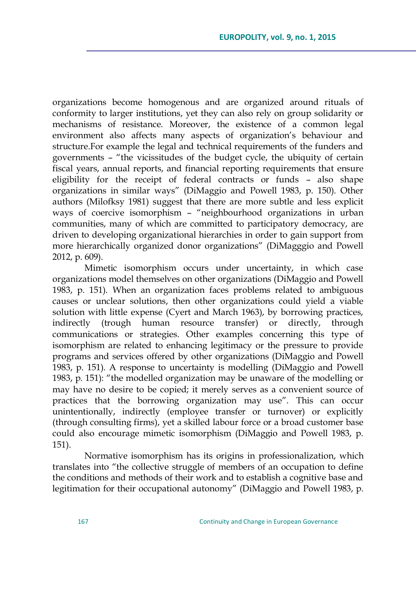organizations become homogenous and are organized around rituals of conformity to larger institutions, yet they can also rely on group solidarity or mechanisms of resistance. Moreover, the existence of a common legal environment also affects many aspects of organization's behaviour and structure.For example the legal and technical requirements of the funders and governments - "the vicissitudes of the budget cycle, the ubiquity of certain fiscal years, annual reports, and financial reporting requirements that ensure eligibility for the receipt of federal contracts or funds – also shape organizations in similar ways" (DiMaggio and Powell 1983, p. 150). Other authors (Milofksy 1981) suggest that there are more subtle and less explicit ways of coercive isomorphism - "neighbourhood organizations in urban communities, many of which are committed to participatory democracy, are driven to developing organizational hierarchies in order to gain support from more hierarchically organized donor organizations‖ (DiMagggio and Powell 2012, p. 609).

Mimetic isomorphism occurs under uncertainty, in which case organizations model themselves on other organizations (DiMaggio and Powell 1983, p. 151). When an organization faces problems related to ambiguous causes or unclear solutions, then other organizations could yield a viable solution with little expense (Cyert and March 1963), by borrowing practices, indirectly (trough human resource transfer) or directly, through communications or strategies. Other examples concerning this type of isomorphism are related to enhancing legitimacy or the pressure to provide programs and services offered by other organizations (DiMaggio and Powell 1983, p. 151). A response to uncertainty is modelling (DiMaggio and Powell 1983, p. 151): "the modelled organization may be unaware of the modelling or may have no desire to be copied; it merely serves as a convenient source of practices that the borrowing organization may use". This can occur unintentionally, indirectly (employee transfer or turnover) or explicitly (through consulting firms), yet a skilled labour force or a broad customer base could also encourage mimetic isomorphism (DiMaggio and Powell 1983, p. 151).

Normative isomorphism has its origins in professionalization, which translates into "the collective struggle of members of an occupation to define the conditions and methods of their work and to establish a cognitive base and legitimation for their occupational autonomy" (DiMaggio and Powell 1983, p.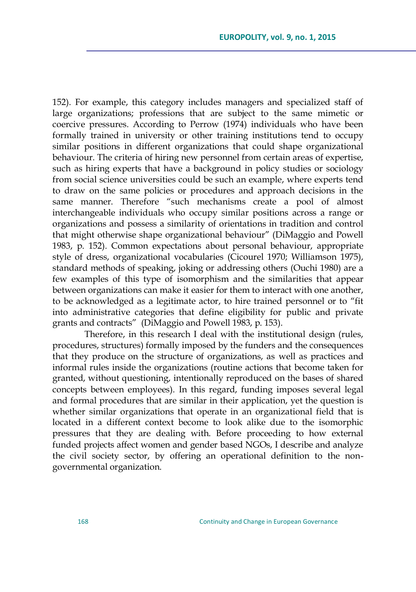152). For example, this category includes managers and specialized staff of large organizations; professions that are subject to the same mimetic or coercive pressures. According to Perrow (1974) individuals who have been formally trained in university or other training institutions tend to occupy similar positions in different organizations that could shape organizational behaviour. The criteria of hiring new personnel from certain areas of expertise, such as hiring experts that have a background in policy studies or sociology from social science universities could be such an example, where experts tend to draw on the same policies or procedures and approach decisions in the same manner. Therefore "such mechanisms create a pool of almost interchangeable individuals who occupy similar positions across a range or organizations and possess a similarity of orientations in tradition and control that might otherwise shape organizational behaviour" (DiMaggio and Powell 1983, p. 152). Common expectations about personal behaviour, appropriate style of dress, organizational vocabularies (Cicourel 1970; Williamson 1975), standard methods of speaking, joking or addressing others (Ouchi 1980) are a few examples of this type of isomorphism and the similarities that appear between organizations can make it easier for them to interact with one another, to be acknowledged as a legitimate actor, to hire trained personnel or to "fit into administrative categories that define eligibility for public and private grants and contracts" (DiMaggio and Powell 1983, p. 153).

Therefore, in this research I deal with the institutional design (rules, procedures, structures) formally imposed by the funders and the consequences that they produce on the structure of organizations, as well as practices and informal rules inside the organizations (routine actions that become taken for granted, without questioning, intentionally reproduced on the bases of shared concepts between employees). In this regard, funding imposes several legal and formal procedures that are similar in their application, yet the question is whether similar organizations that operate in an organizational field that is located in a different context become to look alike due to the isomorphic pressures that they are dealing with. Before proceeding to how external funded projects affect women and gender based NGOs, I describe and analyze the civil society sector, by offering an operational definition to the nongovernmental organization.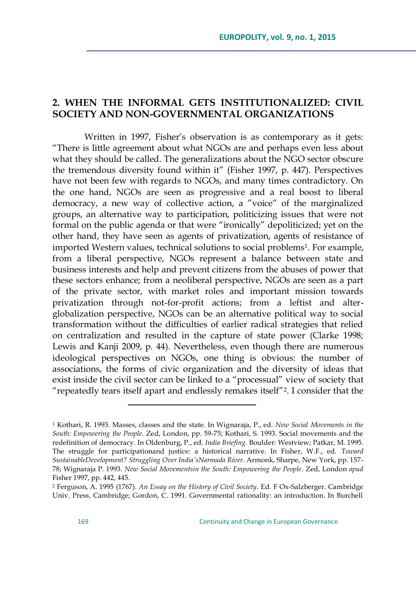## **2. WHEN THE INFORMAL GETS INSTITUTIONALIZED: CIVIL SOCIETY AND NON-GOVERNMENTAL ORGANIZATIONS**

Written in 1997, Fisher's observation is as contemporary as it gets: ―There is little agreement about what NGOs are and perhaps even less about what they should be called. The generalizations about the NGO sector obscure the tremendous diversity found within it" (Fisher 1997, p. 447). Perspectives have not been few with regards to NGOs, and many times contradictory. On the one hand, NGOs are seen as progressive and a real boost to liberal democracy, a new way of collective action, a "voice" of the marginalized groups, an alternative way to participation, politicizing issues that were not formal on the public agenda or that were "ironically" depoliticized; yet on the other hand, they have seen as agents of privatization, agents of resistance of imported Western values, technical solutions to social problems1. For example, from a liberal perspective, NGOs represent a balance between state and business interests and help and prevent citizens from the abuses of power that these sectors enhance; from a neoliberal perspective, NGOs are seen as a part of the private sector, with market roles and important mission towards privatization through not-for-profit actions; from a leftist and alterglobalization perspective, NGOs can be an alternative political way to social transformation without the difficulties of earlier radical strategies that relied on centralization and resulted in the capture of state power (Clarke 1998; Lewis and Kanji 2009, p. 44). Nevertheless, even though there are numerous ideological perspectives on NGOs, one thing is obvious: the number of associations, the forms of civic organization and the diversity of ideas that exist inside the civil sector can be linked to a "processual" view of society that "repeatedly tears itself apart and endlessly remakes itself"<sup>2</sup>. I consider that the

<sup>1</sup> Kothari, R. 1993. Masses, classes and the state. In Wignaraja, P., ed. *New Social Movements in the South: Empowering the People*. Zed, London, pp. 59-75; Kothari, S. 1993. Social movements and the redefinition of democracy. In Oldenburg, P., ed. *India Briefing.* Boulder: Westview; Patkar, M. 1995. The struggle for participationand justice: a historical narrative. In Fisher, W.F., ed. *Toward SustainableDevelopment? Struggling Over India"sNarmada River*. Armonk, Sharpe, New York, pp. 157- 78; Wignaraja P. 1993. *New Social Movementsin the South: Empowering the People*. Zed, London *apud*  Fisher 1997, pp. 442, 445.

<sup>2</sup> Ferguson, A. 1995 (1767). *An Essay on the History of Civil Society*. Ed. F Ox-Salzberger. Cambridge Univ. Press, Cambridge; Gordon, C. 1991. Governmental rationality: an introduction. In Burchell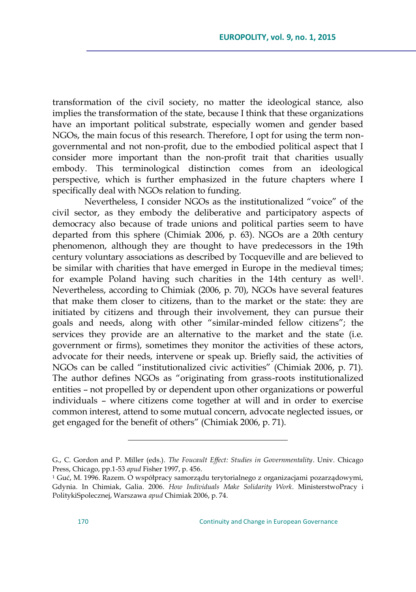transformation of the civil society, no matter the ideological stance, also implies the transformation of the state, because I think that these organizations have an important political substrate, especially women and gender based NGOs, the main focus of this research. Therefore, I opt for using the term nongovernmental and not non-profit, due to the embodied political aspect that I consider more important than the non-profit trait that charities usually embody. This terminological distinction comes from an ideological perspective, which is further emphasized in the future chapters where I specifically deal with NGOs relation to funding.

Nevertheless, I consider NGOs as the institutionalized "voice" of the civil sector, as they embody the deliberative and participatory aspects of democracy also because of trade unions and political parties seem to have departed from this sphere (Chimiak 2006, p. 63). NGOs are a 20th century phenomenon, although they are thought to have predecessors in the 19th century voluntary associations as described by Tocqueville and are believed to be similar with charities that have emerged in Europe in the medieval times; for example Poland having such charities in the 14th century as well<sup>1</sup>. Nevertheless, according to Chimiak (2006, p. 70), NGOs have several features that make them closer to citizens, than to the market or the state: they are initiated by citizens and through their involvement, they can pursue their goals and needs, along with other "similar-minded fellow citizens"; the services they provide are an alternative to the market and the state (i.e. government or firms), sometimes they monitor the activities of these actors, advocate for their needs, intervene or speak up. Briefly said, the activities of NGOs can be called "institutionalized civic activities" (Chimiak 2006, p. 71). The author defines NGOs as "originating from grass-roots institutionalized entities – not propelled by or dependent upon other organizations or powerful individuals – where citizens come together at will and in order to exercise common interest, attend to some mutual concern, advocate neglected issues, or get engaged for the benefit of others" (Chimiak 2006, p. 71).

G., C. Gordon and P. Miller (eds.). *The Foucault Effect: Studies in Governmentality*. Univ. Chicago Press, Chicago, pp.1-53 *apud* Fisher 1997, p. 456.

<sup>&</sup>lt;sup>1</sup> Guć, M. 1996. Razem. O współpracy samorządu terytorialnego z organizacjami pozarządowymi, Gdynia. In Chimiak, Galia. 2006. *How Individuals Make Solidarity Work*. MinisterstwoPracy i PolitykiSpolecznej, Warszawa *apud* Chimiak 2006, p. 74.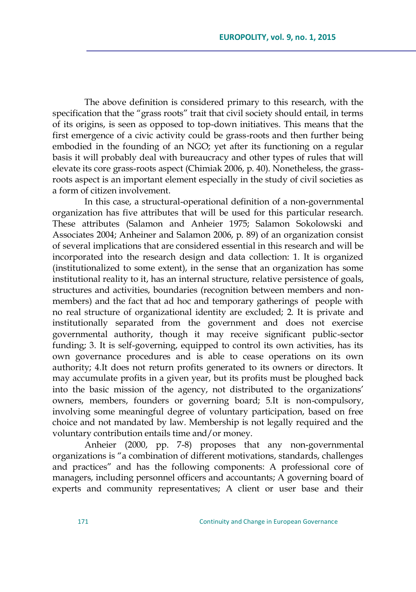The above definition is considered primary to this research, with the specification that the "grass roots" trait that civil society should entail, in terms of its origins, is seen as opposed to top-down initiatives. This means that the first emergence of a civic activity could be grass-roots and then further being embodied in the founding of an NGO; yet after its functioning on a regular basis it will probably deal with bureaucracy and other types of rules that will elevate its core grass-roots aspect (Chimiak 2006, p. 40). Nonetheless, the grassroots aspect is an important element especially in the study of civil societies as a form of citizen involvement.

In this case, a structural-operational definition of a non-governmental organization has five attributes that will be used for this particular research. These attributes (Salamon and Anheier 1975; Salamon Sokolowski and Associates 2004; Anheiner and Salamon 2006, p. 89) of an organization consist of several implications that are considered essential in this research and will be incorporated into the research design and data collection: 1. It is organized (institutionalized to some extent), in the sense that an organization has some institutional reality to it, has an internal structure, relative persistence of goals, structures and activities, boundaries (recognition between members and nonmembers) and the fact that ad hoc and temporary gatherings of people with no real structure of organizational identity are excluded; 2. It is private and institutionally separated from the government and does not exercise governmental authority, though it may receive significant public-sector funding; 3. It is self-governing, equipped to control its own activities, has its own governance procedures and is able to cease operations on its own authority; 4.It does not return profits generated to its owners or directors. It may accumulate profits in a given year, but its profits must be ploughed back into the basic mission of the agency, not distributed to the organizations' owners, members, founders or governing board; 5.It is non-compulsory, involving some meaningful degree of voluntary participation, based on free choice and not mandated by law. Membership is not legally required and the voluntary contribution entails time and/or money.

Anheier (2000, pp. 7-8) proposes that any non-governmental organizations is "a combination of different motivations, standards, challenges and practices" and has the following components: A professional core of managers, including personnel officers and accountants; A governing board of experts and community representatives; A client or user base and their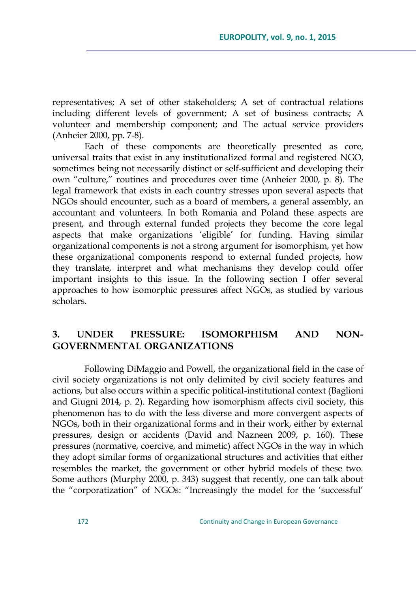representatives; A set of other stakeholders; A set of contractual relations including different levels of government; A set of business contracts; A volunteer and membership component; and The actual service providers (Anheier 2000, pp. 7-8).

Each of these components are theoretically presented as core, universal traits that exist in any institutionalized formal and registered NGO, sometimes being not necessarily distinct or self-sufficient and developing their own "culture," routines and procedures over time (Anheier 2000, p. 8). The legal framework that exists in each country stresses upon several aspects that NGOs should encounter, such as a board of members, a general assembly, an accountant and volunteers. In both Romania and Poland these aspects are present, and through external funded projects they become the core legal aspects that make organizations 'eligible' for funding. Having similar organizational components is not a strong argument for isomorphism, yet how these organizational components respond to external funded projects, how they translate, interpret and what mechanisms they develop could offer important insights to this issue. In the following section I offer several approaches to how isomorphic pressures affect NGOs, as studied by various scholars.

## **3. UNDER PRESSURE: ISOMORPHISM AND NON-GOVERNMENTAL ORGANIZATIONS**

Following DiMaggio and Powell, the organizational field in the case of civil society organizations is not only delimited by civil society features and actions, but also occurs within a specific political-institutional context (Baglioni and Giugni 2014, p. 2). Regarding how isomorphism affects civil society, this phenomenon has to do with the less diverse and more convergent aspects of NGOs, both in their organizational forms and in their work, either by external pressures, design or accidents (David and Nazneen 2009, p. 160). These pressures (normative, coercive, and mimetic) affect NGOs in the way in which they adopt similar forms of organizational structures and activities that either resembles the market, the government or other hybrid models of these two. Some authors (Murphy 2000, p. 343) suggest that recently, one can talk about the "corporatization" of NGOs: "Increasingly the model for the 'successful'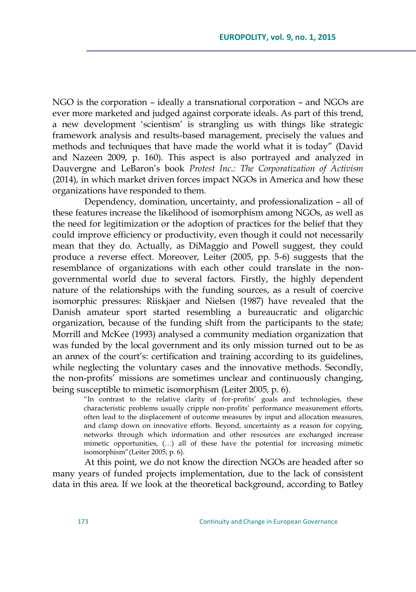NGO is the corporation – ideally a transnational corporation – and NGOs are ever more marketed and judged against corporate ideals. As part of this trend, a new development ‗scientism' is strangling us with things like strategic framework analysis and results-based management, precisely the values and methods and techniques that have made the world what it is today" (David and Nazeen 2009, p. 160). This aspect is also portrayed and analyzed in Dauvergne and LeBaron's book *Protest Inc.: The Corporatization of Activism* (2014), in which market driven forces impact NGOs in America and how these organizations have responded to them.

Dependency, domination, uncertainty, and professionalization – all of these features increase the likelihood of isomorphism among NGOs, as well as the need for legitimization or the adoption of practices for the belief that they could improve efficiency or productivity, even though it could not necessarily mean that they do. Actually, as DiMaggio and Powell suggest, they could produce a reverse effect. Moreover, Leiter (2005, pp. 5-6) suggests that the resemblance of organizations with each other could translate in the nongovernmental world due to several factors. Firstly, the highly dependent nature of the relationships with the funding sources, as a result of coercive isomorphic pressures: Riiskjaer and Nielsen (1987) have revealed that the Danish amateur sport started resembling a bureaucratic and oligarchic organization, because of the funding shift from the participants to the state; Morrill and McKee (1993) analysed a community mediation organization that was funded by the local government and its only mission turned out to be as an annex of the court's: certification and training according to its guidelines, while neglecting the voluntary cases and the innovative methods. Secondly, the non-profits' missions are sometimes unclear and continuously changing, being susceptible to mimetic isomorphism (Leiter 2005, p. 6).

"In contrast to the relative clarity of for-profits' goals and technologies, these characteristic problems usually cripple non-profits' performance measurement efforts, often lead to the displacement of outcome measures by input and allocation measures, and clamp down on innovative efforts. Beyond, uncertainty as a reason for copying, networks through which information and other resources are exchanged increase mimetic opportunities, (…) all of these have the potential for increasing mimetic isomorphism" (Leiter 2005, p. 6).

At this point, we do not know the direction NGOs are headed after so many years of funded projects implementation, due to the lack of consistent data in this area. If we look at the theoretical background, according to Batley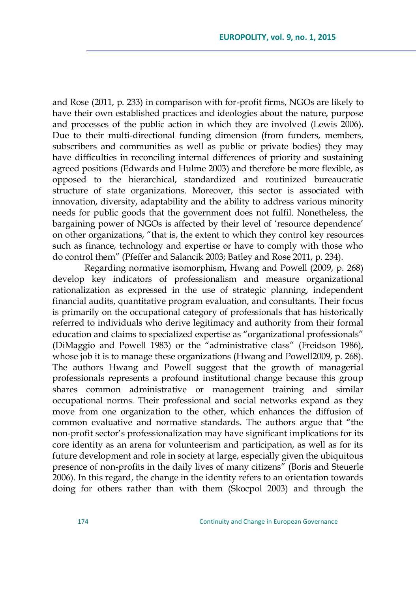and Rose (2011, p. 233) in comparison with for-profit firms, NGOs are likely to have their own established practices and ideologies about the nature, purpose and processes of the public action in which they are involved (Lewis 2006). Due to their multi-directional funding dimension (from funders, members, subscribers and communities as well as public or private bodies) they may have difficulties in reconciling internal differences of priority and sustaining agreed positions (Edwards and Hulme 2003) and therefore be more flexible, as opposed to the hierarchical, standardized and routinized bureaucratic structure of state organizations. Moreover, this sector is associated with innovation, diversity, adaptability and the ability to address various minority needs for public goods that the government does not fulfil. Nonetheless, the bargaining power of NGOs is affected by their level of 'resource dependence' on other organizations, "that is, the extent to which they control key resources such as finance, technology and expertise or have to comply with those who do control them‖ (Pfeffer and Salancik 2003; Batley and Rose 2011, p. 234).

Regarding normative isomorphism, Hwang and Powell (2009, p. 268) develop key indicators of professionalism and measure organizational rationalization as expressed in the use of strategic planning, independent financial audits, quantitative program evaluation, and consultants. Their focus is primarily on the occupational category of professionals that has historically referred to individuals who derive legitimacy and authority from their formal education and claims to specialized expertise as "organizational professionals" (DiMaggio and Powell 1983) or the "administrative class" (Freidson 1986), whose job it is to manage these organizations (Hwang and Powell2009, p. 268). The authors Hwang and Powell suggest that the growth of managerial professionals represents a profound institutional change because this group shares common administrative or management training and similar occupational norms. Their professional and social networks expand as they move from one organization to the other, which enhances the diffusion of common evaluative and normative standards. The authors argue that "the non-profit sector's professionalization may have significant implications for its core identity as an arena for volunteerism and participation, as well as for its future development and role in society at large, especially given the ubiquitous presence of non-profits in the daily lives of many citizens" (Boris and Steuerle 2006). In this regard, the change in the identity refers to an orientation towards doing for others rather than with them (Skocpol 2003) and through the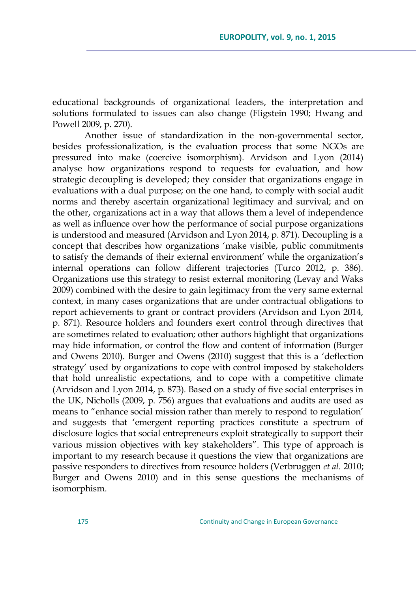educational backgrounds of organizational leaders, the interpretation and solutions formulated to issues can also change (Fligstein 1990; Hwang and Powell 2009, p. 270).

Another issue of standardization in the non-governmental sector, besides professionalization, is the evaluation process that some NGOs are pressured into make (coercive isomorphism). Arvidson and Lyon (2014) analyse how organizations respond to requests for evaluation, and how strategic decoupling is developed; they consider that organizations engage in evaluations with a dual purpose; on the one hand, to comply with social audit norms and thereby ascertain organizational legitimacy and survival; and on the other, organizations act in a way that allows them a level of independence as well as influence over how the performance of social purpose organizations is understood and measured (Arvidson and Lyon 2014, p. 871). Decoupling is a concept that describes how organizations 'make visible, public commitments to satisfy the demands of their external environment' while the organization's internal operations can follow different trajectories (Turco 2012, p. 386). Organizations use this strategy to resist external monitoring (Levay and Waks 2009) combined with the desire to gain legitimacy from the very same external context, in many cases organizations that are under contractual obligations to report achievements to grant or contract providers (Arvidson and Lyon 2014, p. 871). Resource holders and founders exert control through directives that are sometimes related to evaluation; other authors highlight that organizations may hide information, or control the flow and content of information (Burger and Owens 2010). Burger and Owens (2010) suggest that this is a 'deflection strategy' used by organizations to cope with control imposed by stakeholders that hold unrealistic expectations, and to cope with a competitive climate (Arvidson and Lyon 2014, p. 873). Based on a study of five social enterprises in the UK, Nicholls (2009, p. 756) argues that evaluations and audits are used as means to "enhance social mission rather than merely to respond to regulation' and suggests that 'emergent reporting practices constitute a spectrum of disclosure logics that social entrepreneurs exploit strategically to support their various mission objectives with key stakeholders". This type of approach is important to my research because it questions the view that organizations are passive responders to directives from resource holders (Verbruggen *et al.* 2010; Burger and Owens 2010) and in this sense questions the mechanisms of isomorphism.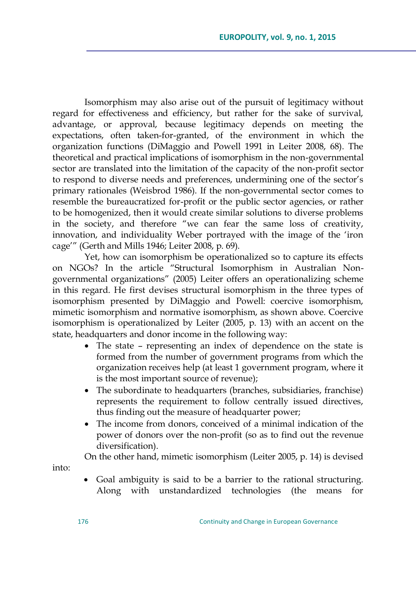Isomorphism may also arise out of the pursuit of legitimacy without regard for effectiveness and efficiency, but rather for the sake of survival, advantage, or approval, because legitimacy depends on meeting the expectations, often taken-for-granted, of the environment in which the organization functions (DiMaggio and Powell 1991 in Leiter 2008, 68). The theoretical and practical implications of isomorphism in the non-governmental sector are translated into the limitation of the capacity of the non-profit sector to respond to diverse needs and preferences, undermining one of the sector's primary rationales (Weisbrod 1986). If the non-governmental sector comes to resemble the bureaucratized for-profit or the public sector agencies, or rather to be homogenized, then it would create similar solutions to diverse problems in the society, and therefore "we can fear the same loss of creativity, innovation, and individuality Weber portrayed with the image of the 'iron cage'‖ (Gerth and Mills 1946; Leiter 2008, p. 69).

Yet, how can isomorphism be operationalized so to capture its effects on NGOs? In the article "Structural Isomorphism in Australian Nongovernmental organizations" (2005) Leiter offers an operationalizing scheme in this regard. He first devises structural isomorphism in the three types of isomorphism presented by DiMaggio and Powell: coercive isomorphism, mimetic isomorphism and normative isomorphism, as shown above. Coercive isomorphism is operationalized by Leiter (2005, p. 13) with an accent on the state, headquarters and donor income in the following way:

- The state representing an index of dependence on the state is formed from the number of government programs from which the organization receives help (at least 1 government program, where it is the most important source of revenue);
- The subordinate to headquarters (branches, subsidiaries, franchise) represents the requirement to follow centrally issued directives, thus finding out the measure of headquarter power;
- The income from donors, conceived of a minimal indication of the power of donors over the non-profit (so as to find out the revenue diversification).

On the other hand, mimetic isomorphism (Leiter 2005, p. 14) is devised

into:

 Goal ambiguity is said to be a barrier to the rational structuring. Along with unstandardized technologies (the means for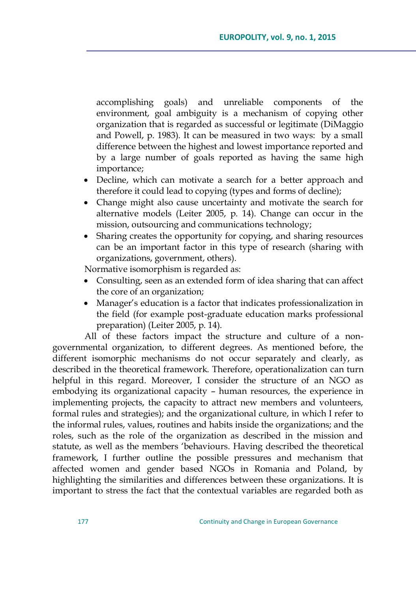accomplishing goals) and unreliable components of the environment, goal ambiguity is a mechanism of copying other organization that is regarded as successful or legitimate (DiMaggio and Powell, p. 1983). It can be measured in two ways: by a small difference between the highest and lowest importance reported and by a large number of goals reported as having the same high importance;

- Decline, which can motivate a search for a better approach and therefore it could lead to copying (types and forms of decline);
- Change might also cause uncertainty and motivate the search for alternative models (Leiter 2005, p. 14). Change can occur in the mission, outsourcing and communications technology;
- Sharing creates the opportunity for copying, and sharing resources can be an important factor in this type of research (sharing with organizations, government, others).

Normative isomorphism is regarded as:

- Consulting, seen as an extended form of idea sharing that can affect the core of an organization;
- Manager's education is a factor that indicates professionalization in the field (for example post-graduate education marks professional preparation) (Leiter 2005, p. 14).

All of these factors impact the structure and culture of a nongovernmental organization, to different degrees. As mentioned before, the different isomorphic mechanisms do not occur separately and clearly, as described in the theoretical framework. Therefore, operationalization can turn helpful in this regard. Moreover, I consider the structure of an NGO as embodying its organizational capacity – human resources, the experience in implementing projects, the capacity to attract new members and volunteers, formal rules and strategies); and the organizational culture, in which I refer to the informal rules, values, routines and habits inside the organizations; and the roles, such as the role of the organization as described in the mission and statute, as well as the members 'behaviours. Having described the theoretical framework, I further outline the possible pressures and mechanism that affected women and gender based NGOs in Romania and Poland, by highlighting the similarities and differences between these organizations. It is important to stress the fact that the contextual variables are regarded both as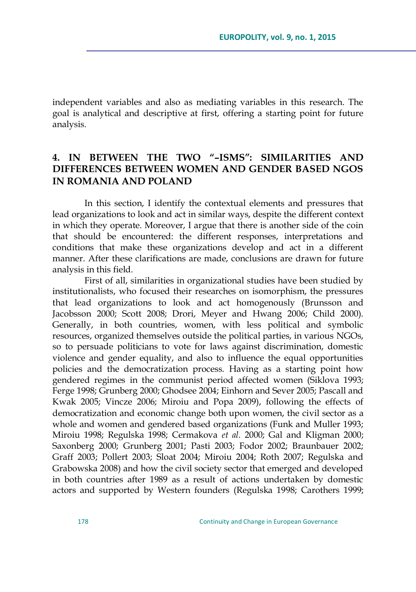independent variables and also as mediating variables in this research. The goal is analytical and descriptive at first, offering a starting point for future analysis.

### **4. IN BETWEEN THE TWO "–ISMS": SIMILARITIES AND DIFFERENCES BETWEEN WOMEN AND GENDER BASED NGOS IN ROMANIA AND POLAND**

In this section, I identify the contextual elements and pressures that lead organizations to look and act in similar ways, despite the different context in which they operate. Moreover, I argue that there is another side of the coin that should be encountered: the different responses, interpretations and conditions that make these organizations develop and act in a different manner. After these clarifications are made, conclusions are drawn for future analysis in this field.

First of all, similarities in organizational studies have been studied by institutionalists, who focused their researches on isomorphism, the pressures that lead organizations to look and act homogenously (Brunsson and Jacobsson 2000; Scott 2008; Drori, Meyer and Hwang 2006; Child 2000). Generally, in both countries, women, with less political and symbolic resources, organized themselves outside the political parties, in various NGOs, so to persuade politicians to vote for laws against discrimination, domestic violence and gender equality, and also to influence the equal opportunities policies and the democratization process. Having as a starting point how gendered regimes in the communist period affected women (Siklova 1993; Ferge 1998; Grunberg 2000; Ghodsee 2004; Einhorn and Sever 2005; Pascall and Kwak 2005; Vincze 2006; Miroiu and Popa 2009), following the effects of democratization and economic change both upon women, the civil sector as a whole and women and gendered based organizations (Funk and Muller 1993; Miroiu 1998; Regulska 1998; Cermakova *et al.* 2000; Gal and Kligman 2000; Saxonberg 2000; Grunberg 2001; Pasti 2003; Fodor 2002; Braunbauer 2002; Graff 2003; Pollert 2003; Sloat 2004; Miroiu 2004; Roth 2007; Regulska and Grabowska 2008) and how the civil society sector that emerged and developed in both countries after 1989 as a result of actions undertaken by domestic actors and supported by Western founders (Regulska 1998; Carothers 1999;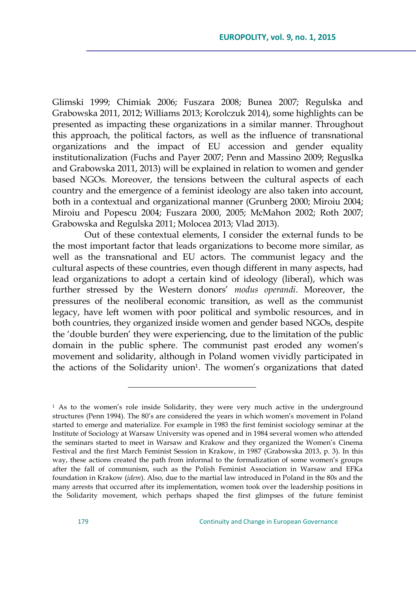Glimski 1999; Chimiak 2006; Fuszara 2008; Bunea 2007; Regulska and Grabowska 2011, 2012; Williams 2013; Korolczuk 2014), some highlights can be presented as impacting these organizations in a similar manner. Throughout this approach, the political factors, as well as the influence of transnational organizations and the impact of EU accession and gender equality institutionalization (Fuchs and Payer 2007; Penn and Massino 2009; Reguslka and Grabowska 2011, 2013) will be explained in relation to women and gender based NGOs. Moreover, the tensions between the cultural aspects of each country and the emergence of a feminist ideology are also taken into account, both in a contextual and organizational manner (Grunberg 2000; Miroiu 2004; Miroiu and Popescu 2004; Fuszara 2000, 2005; McMahon 2002; Roth 2007; Grabowska and Regulska 2011; Molocea 2013; Vlad 2013).

Out of these contextual elements, I consider the external funds to be the most important factor that leads organizations to become more similar, as well as the transnational and EU actors. The communist legacy and the cultural aspects of these countries, even though different in many aspects, had lead organizations to adopt a certain kind of ideology (liberal), which was further stressed by the Western donors' *modus operandi*. Moreover, the pressures of the neoliberal economic transition, as well as the communist legacy, have left women with poor political and symbolic resources, and in both countries, they organized inside women and gender based NGOs, despite the 'double burden' they were experiencing, due to the limitation of the public domain in the public sphere. The communist past eroded any women's movement and solidarity, although in Poland women vividly participated in the actions of the Solidarity union<sup>1</sup>. The women's organizations that dated

 $1$  As to the women's role inside Solidarity, they were very much active in the underground structures (Penn 1994). The 80's are considered the years in which women's movement in Poland started to emerge and materialize. For example in 1983 the first feminist sociology seminar at the Institute of Sociology at Warsaw University was opened and in 1984 several women who attended the seminars started to meet in Warsaw and Krakow and they organized the Women's Cinema Festival and the first March Feminist Session in Krakow, in 1987 (Grabowska 2013, p. 3). In this way, these actions created the path from informal to the formalization of some women's groups after the fall of communism, such as the Polish Feminist Association in Warsaw and EFKa foundation in Krakow (*idem*). Also, due to the martial law introduced in Poland in the 80s and the many arrests that occurred after its implementation, women took over the leadership positions in the Solidarity movement, which perhaps shaped the first glimpses of the future feminist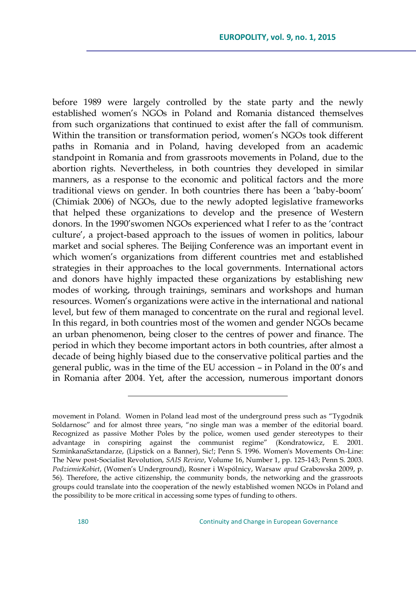before 1989 were largely controlled by the state party and the newly established women's NGOs in Poland and Romania distanced themselves from such organizations that continued to exist after the fall of communism. Within the transition or transformation period, women's NGOs took different paths in Romania and in Poland, having developed from an academic standpoint in Romania and from grassroots movements in Poland, due to the abortion rights. Nevertheless, in both countries they developed in similar manners, as a response to the economic and political factors and the more traditional views on gender. In both countries there has been a 'baby-boom' (Chimiak 2006) of NGOs, due to the newly adopted legislative frameworks that helped these organizations to develop and the presence of Western donors. In the 1990'swomen NGOs experienced what I refer to as the 'contract culture', a project-based approach to the issues of women in politics, labour market and social spheres. The Beijing Conference was an important event in which women's organizations from different countries met and established strategies in their approaches to the local governments. International actors and donors have highly impacted these organizations by establishing new modes of working, through trainings, seminars and workshops and human resources. Women's organizations were active in the international and national level, but few of them managed to concentrate on the rural and regional level. In this regard, in both countries most of the women and gender NGOs became an urban phenomenon, being closer to the centres of power and finance. The period in which they become important actors in both countries, after almost a decade of being highly biased due to the conservative political parties and the general public, was in the time of the EU accession – in Poland in the 00's and in Romania after 2004. Yet, after the accession, numerous important donors

movement in Poland. Women in Poland lead most of the underground press such as "Tygodnik Soldarnosc" and for almost three years, "no single man was a member of the editorial board. Recognized as passive Mother Poles by the police, women used gender stereotypes to their advantage in conspiring against the communist regime" (Kondratowicz, E. 2001. SzminkanaSztandarze, (Lipstick on a Banner), Sic!; Penn S. 1996. Women's Movements On-Line: The New post-Socialist Revolution, *SAIS Review*, Volume 16, Number 1, pp. 125-143; Penn S. 2003. *PodziemieKobiet*, (Women's Underground), Rosner i Wspólnicy, Warsaw *apud* Grabowska 2009, p. 56). Therefore, the active citizenship, the community bonds, the networking and the grassroots groups could translate into the cooperation of the newly established women NGOs in Poland and the possibility to be more critical in accessing some types of funding to others.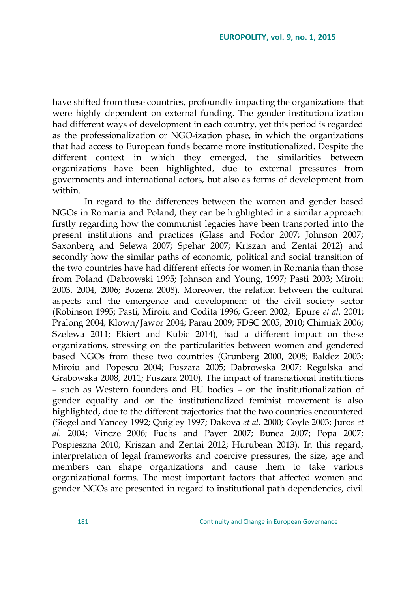have shifted from these countries, profoundly impacting the organizations that were highly dependent on external funding. The gender institutionalization had different ways of development in each country, yet this period is regarded as the professionalization or NGO-ization phase, in which the organizations that had access to European funds became more institutionalized. Despite the different context in which they emerged, the similarities between organizations have been highlighted, due to external pressures from governments and international actors, but also as forms of development from within.

In regard to the differences between the women and gender based NGOs in Romania and Poland, they can be highlighted in a similar approach: firstly regarding how the communist legacies have been transported into the present institutions and practices (Glass and Fodor 2007; Johnson 2007; Saxonberg and Selewa 2007; Spehar 2007; Kriszan and Zentai 2012) and secondly how the similar paths of economic, political and social transition of the two countries have had different effects for women in Romania than those from Poland (Dabrowski 1995; Johnson and Young, 1997; Pasti 2003; Miroiu 2003, 2004, 2006; Bozena 2008). Moreover, the relation between the cultural aspects and the emergence and development of the civil society sector (Robinson 1995; Pasti, Miroiu and Codita 1996; Green 2002; Epure *et al.* 2001; Pralong 2004; Klown/Jawor 2004; Parau 2009; FDSC 2005, 2010; Chimiak 2006; Szelewa 2011; Ekiert and Kubic 2014), had a different impact on these organizations, stressing on the particularities between women and gendered based NGOs from these two countries (Grunberg 2000, 2008; Baldez 2003; Miroiu and Popescu 2004; Fuszara 2005; Dabrowska 2007; Regulska and Grabowska 2008, 2011; Fuszara 2010). The impact of transnational institutions – such as Western founders and EU bodies – on the institutionalization of gender equality and on the institutionalized feminist movement is also highlighted, due to the different trajectories that the two countries encountered (Siegel and Yancey 1992; Quigley 1997; Dakova *et al.* 2000; Coyle 2003; Juros *et al.* 2004; Vincze 2006; Fuchs and Payer 2007; Bunea 2007; Popa 2007; Pospieszna 2010; Kriszan and Zentai 2012; Hurubean 2013). In this regard, interpretation of legal frameworks and coercive pressures, the size, age and members can shape organizations and cause them to take various organizational forms. The most important factors that affected women and gender NGOs are presented in regard to institutional path dependencies, civil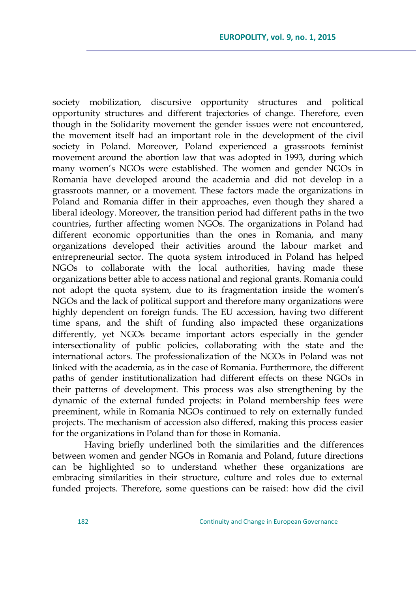society mobilization, discursive opportunity structures and political opportunity structures and different trajectories of change. Therefore, even though in the Solidarity movement the gender issues were not encountered, the movement itself had an important role in the development of the civil society in Poland. Moreover, Poland experienced a grassroots feminist movement around the abortion law that was adopted in 1993, during which many women's NGOs were established. The women and gender NGOs in Romania have developed around the academia and did not develop in a grassroots manner, or a movement. These factors made the organizations in Poland and Romania differ in their approaches, even though they shared a liberal ideology. Moreover, the transition period had different paths in the two countries, further affecting women NGOs. The organizations in Poland had different economic opportunities than the ones in Romania, and many organizations developed their activities around the labour market and entrepreneurial sector. The quota system introduced in Poland has helped NGOs to collaborate with the local authorities, having made these organizations better able to access national and regional grants. Romania could not adopt the quota system, due to its fragmentation inside the women's NGOs and the lack of political support and therefore many organizations were highly dependent on foreign funds. The EU accession, having two different time spans, and the shift of funding also impacted these organizations differently, yet NGOs became important actors especially in the gender intersectionality of public policies, collaborating with the state and the international actors. The professionalization of the NGOs in Poland was not linked with the academia, as in the case of Romania. Furthermore, the different paths of gender institutionalization had different effects on these NGOs in their patterns of development. This process was also strengthening by the dynamic of the external funded projects: in Poland membership fees were preeminent, while in Romania NGOs continued to rely on externally funded projects. The mechanism of accession also differed, making this process easier for the organizations in Poland than for those in Romania.

Having briefly underlined both the similarities and the differences between women and gender NGOs in Romania and Poland, future directions can be highlighted so to understand whether these organizations are embracing similarities in their structure, culture and roles due to external funded projects. Therefore, some questions can be raised: how did the civil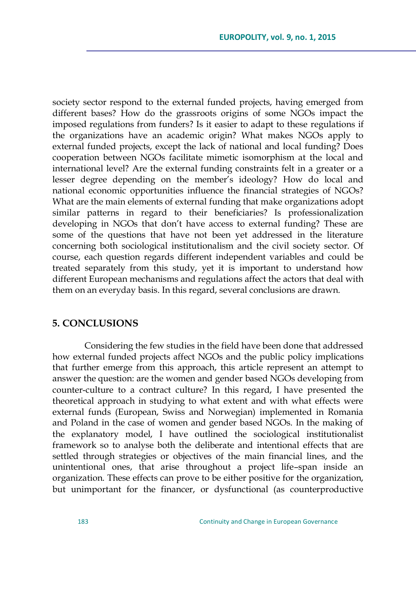society sector respond to the external funded projects, having emerged from different bases? How do the grassroots origins of some NGOs impact the imposed regulations from funders? Is it easier to adapt to these regulations if the organizations have an academic origin? What makes NGOs apply to external funded projects, except the lack of national and local funding? Does cooperation between NGOs facilitate mimetic isomorphism at the local and international level? Are the external funding constraints felt in a greater or a lesser degree depending on the member's ideology? How do local and national economic opportunities influence the financial strategies of NGOs? What are the main elements of external funding that make organizations adopt similar patterns in regard to their beneficiaries? Is professionalization developing in NGOs that don't have access to external funding? These are some of the questions that have not been yet addressed in the literature concerning both sociological institutionalism and the civil society sector. Of course, each question regards different independent variables and could be treated separately from this study, yet it is important to understand how different European mechanisms and regulations affect the actors that deal with them on an everyday basis. In this regard, several conclusions are drawn.

### **5. CONCLUSIONS**

Considering the few studies in the field have been done that addressed how external funded projects affect NGOs and the public policy implications that further emerge from this approach, this article represent an attempt to answer the question: are the women and gender based NGOs developing from counter-culture to a contract culture? In this regard, I have presented the theoretical approach in studying to what extent and with what effects were external funds (European, Swiss and Norwegian) implemented in Romania and Poland in the case of women and gender based NGOs. In the making of the explanatory model, I have outlined the sociological institutionalist framework so to analyse both the deliberate and intentional effects that are settled through strategies or objectives of the main financial lines, and the unintentional ones, that arise throughout a project life–span inside an organization. These effects can prove to be either positive for the organization, but unimportant for the financer, or dysfunctional (as counterproductive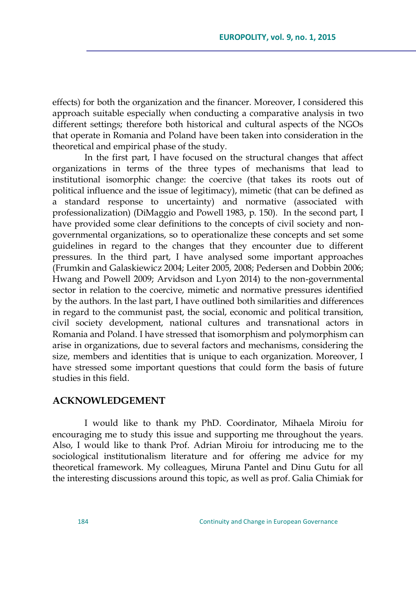effects) for both the organization and the financer. Moreover, I considered this approach suitable especially when conducting a comparative analysis in two different settings; therefore both historical and cultural aspects of the NGOs that operate in Romania and Poland have been taken into consideration in the theoretical and empirical phase of the study.

In the first part, I have focused on the structural changes that affect organizations in terms of the three types of mechanisms that lead to institutional isomorphic change: the coercive (that takes its roots out of political influence and the issue of legitimacy), mimetic (that can be defined as a standard response to uncertainty) and normative (associated with professionalization) (DiMaggio and Powell 1983, p. 150). In the second part, I have provided some clear definitions to the concepts of civil society and nongovernmental organizations, so to operationalize these concepts and set some guidelines in regard to the changes that they encounter due to different pressures. In the third part, I have analysed some important approaches (Frumkin and Galaskiewicz 2004; Leiter 2005, 2008; Pedersen and Dobbin 2006; Hwang and Powell 2009; Arvidson and Lyon 2014) to the non-governmental sector in relation to the coercive, mimetic and normative pressures identified by the authors. In the last part, I have outlined both similarities and differences in regard to the communist past, the social, economic and political transition, civil society development, national cultures and transnational actors in Romania and Poland. I have stressed that isomorphism and polymorphism can arise in organizations, due to several factors and mechanisms, considering the size, members and identities that is unique to each organization. Moreover, I have stressed some important questions that could form the basis of future studies in this field.

#### **ACKNOWLEDGEMENT**

I would like to thank my PhD. Coordinator, Mihaela Miroiu for encouraging me to study this issue and supporting me throughout the years. Also, I would like to thank Prof. Adrian Miroiu for introducing me to the sociological institutionalism literature and for offering me advice for my theoretical framework. My colleagues, Miruna Pantel and Dinu Gutu for all the interesting discussions around this topic, as well as prof. Galia Chimiak for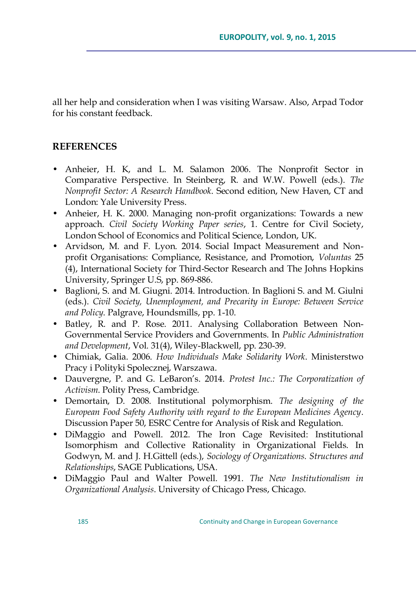all her help and consideration when I was visiting Warsaw. Also, Arpad Todor for his constant feedback.

### **REFERENCES**

- Anheier, H. K, and L. M. Salamon 2006. The Nonprofit Sector in Comparative Perspective. In Steinberg, R. and W.W. Powell (eds.). *The Nonprofit Sector: A Research Handbook*. Second edition, New Haven, CT and London: Yale University Press.
- Anheier, H. K. 2000. Managing non-profit organizations: Towards a new approach. *Civil Society Working Paper series*, 1. Centre for Civil Society, London School of Economics and Political Science, London, UK.
- Arvidson, M. and F. Lyon. 2014. Social Impact Measurement and Nonprofit Organisations: Compliance, Resistance, and Promotion, *Voluntas* 25 (4), International Society for Third-Sector Research and The Johns Hopkins University, Springer U.S, pp. 869-886.
- Baglioni, S. and M. Giugni. 2014. Introduction. In Baglioni S. and M. Giulni (eds.). *Civil Society, Unemployment, and Precarity in Europe: Between Service and Policy*. Palgrave, Houndsmills, pp. 1-10.
- Batley, R. and P. Rose. 2011. Analysing Collaboration Between Non-Governmental Service Providers and Governments. In *Public Administration and Development*, Vol. 31(4), Wiley-Blackwell, pp. 230-39.
- Chimiak, Galia. 2006. *How Individuals Make Solidarity Work*. Ministerstwo Pracy i Polityki Spolecznej, Warszawa.
- Dauvergne, P. and G. LeBaron's. 2014. *Protest Inc.: The Corporatization of Activism*. Polity Press, Cambridge.
- Demortain, D. 2008. Institutional polymorphism. *The designing of the European Food Safety Authority with regard to the European Medicines Agency*. Discussion Paper 50, ESRC Centre for Analysis of Risk and Regulation.
- DiMaggio and Powell. 2012. The Iron Cage Revisited: Institutional Isomorphism and Collective Rationality in Organizational Fields. In Godwyn, M. and J. H.Gittell (eds.), *Sociology of Organizations. Structures and Relationships*, SAGE Publications, USA.
- DiMaggio Paul and Walter Powell. 1991. *The New Institutionalism in Organizational Analysis*. University of Chicago Press, Chicago.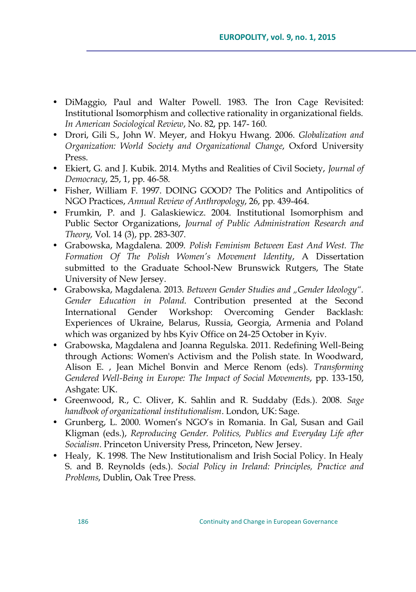- DiMaggio, Paul and Walter Powell. 1983. The Iron Cage Revisited: Institutional Isomorphism and collective rationality in organizational fields. *In American Sociological Review*, No. 82, pp. 147- 160.
- Drori, Gili S., John W. Meyer, and Hokyu Hwang. 2006. *Globalization and Organization: World Society and Organizational Change*, Oxford University Press.
- Ekiert, G. and J. Kubik. 2014. Myths and Realities of Civil Society, *Journal of Democracy*, 25, 1, pp. 46-58.
- Fisher, William F. 1997. DOING GOOD? The Politics and Antipolitics of NGO Practices, *Annual Review of Anthropology*, 26, pp. 439-464.
- Frumkin, P. and J. Galaskiewicz. 2004. Institutional Isomorphism and Public Sector Organizations, *Journal of Public Administration Research and Theory*, Vol. 14 (3), pp. 283-307.
- Grabowska, Magdalena. 2009. *Polish Feminism Between East And West. The Formation Of The Polish Women"s Movement Identity*, A Dissertation submitted to the Graduate School-New Brunswick Rutgers, The State University of New Jersey.
- Grabowska, Magdalena. 2013. *Between Gender Studies and "Gender Ideology". Gender Education in Poland*. Contribution presented at the Second International Gender Workshop: Overcoming Gender Backlash: Experiences of Ukraine, Belarus, Russia, Georgia, Armenia and Poland which was organized by hbs Kyiv Office on 24-25 October in Kyiv.
- Grabowska, Magdalena and Joanna Regulska. 2011. Redefining Well-Being through Actions: Women's Activism and the Polish state. In Woodward, Alison E. , Jean Michel Bonvin and Merce Renom (eds). *Transforming Gendered Well-Being in Europe: The Impact of Social Movements*, pp. 133-150, Ashgate: UK.
- Greenwood, R., C. Oliver, K. Sahlin and R. Suddaby (Eds.). 2008. *Sage handbook of organizational institutionalism*. London, UK: Sage.
- Grunberg, L. 2000. Women's NGO's in Romania. In Gal, Susan and Gail Kligman (eds.), *Reproducing Gender. Politics, Publics and Everyday Life after Socialism*. Princeton University Press, Princeton, New Jersey.
- Healy, K. 1998. The New Institutionalism and Irish Social Policy. In Healy S. and B. Reynolds (eds.). *Social Policy in Ireland: Principles, Practice and Problems*, Dublin, Oak Tree Press.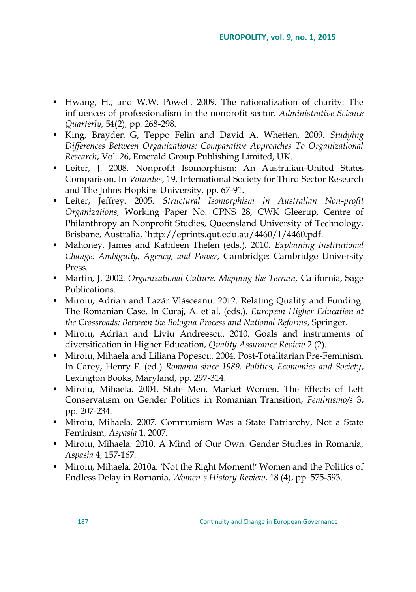- Hwang, H., and W.W. Powell. 2009. The rationalization of charity: The influences of professionalism in the nonprofit sector. *Administrative Science Quarterly*, 54(2), pp. 268-298.
- King, Brayden G, Teppo Felin and David A. Whetten. 2009. *Studying Differences Between Organizations: Comparative Approaches To Organizational Research*, Vol. 26, Emerald Group Publishing Limited, UK.
- Leiter, J. 2008. Nonprofit Isomorphism: An Australian-United States Comparison. In *Voluntas*, 19, International Society for Third Sector Research and The Johns Hopkins University, pp. 67-91.
- Leiter, Jeffrey. 2005. *Structural Isomorphism in Australian Non-profit Organizations*, Working Paper No. CPNS 28, CWK Gleerup, Centre of Philanthropy an Nonprofit Studies, Queensland University of Technology, Brisbane, Australia, `http://eprints.qut.edu.au/4460/1/4460.pdf.
- Mahoney, James and Kathleen Thelen (eds.). 2010. *Explaining Institutional Change: Ambiguity, Agency, and Power*, Cambridge: Cambridge University Press.
- Martin, J. 2002. *Organizational Culture: Mapping the Terrain,* California, Sage Publications.
- Miroiu, Adrian and Lazãr Vlãsceanu. 2012. Relating Quality and Funding: The Romanian Case. In Curaj, A. et al. (eds.). *European Higher Education at the Crossroads: Between the Bologna Process and National Reforms*, Springer.
- Miroiu, Adrian and Liviu Andreescu. 2010. Goals and instruments of diversification in Higher Education, *Quality Assurance Review* 2 (2).
- Miroiu, Mihaela and Liliana Popescu. 2004. Post-Totalitarian Pre-Feminism. In Carey, Henry F. (ed.) *Romania since 1989. Politics, Economics and Society*, Lexington Books, Maryland, pp. 297-314.
- Miroiu, Mihaela. 2004. State Men, Market Women. The Effects of Left Conservatism on Gender Politics in Romanian Transition, *Feminismo/s* 3, pp. 207-234.
- Miroiu, Mihaela. 2007. Communism Was a State Patriarchy, Not a State Feminism, *Aspasia* 1, 2007.
- Miroiu, Mihaela. 2010. A Mind of Our Own. Gender Studies in Romania, *Aspasia* 4, 157-167.
- Miroiu, Mihaela. 2010a. 'Not the Right Moment!' Women and the Politics of Endless Delay in Romania, *Women's History Review*, 18 (4), pp. 575-593.